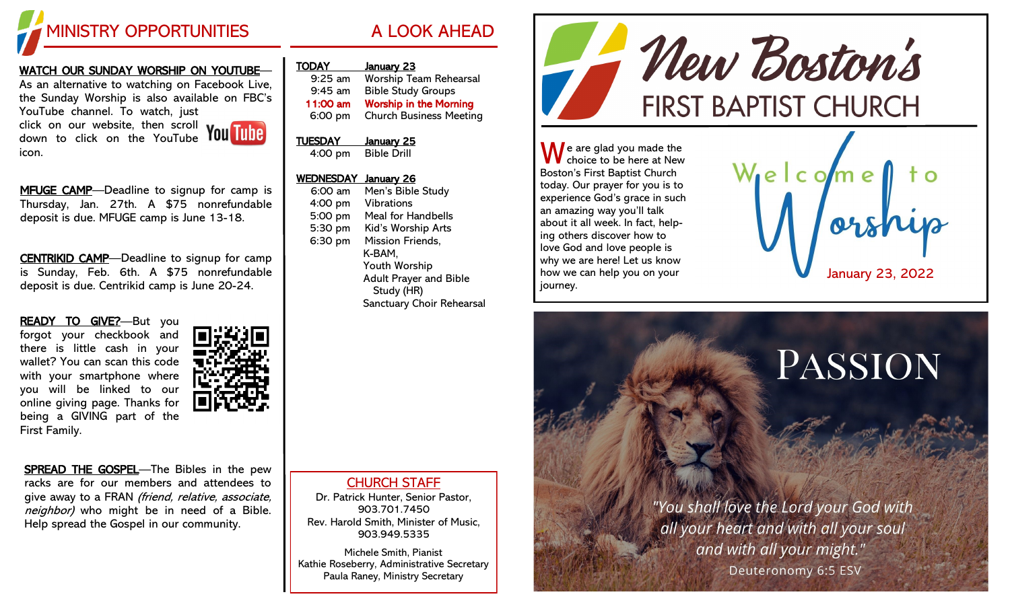

## WATCH OUR SUNDAY WORSHIP ON YOUTUBE—

As an alternative to watching on Facebook Live, the Sunday Worship is also available on FBC's YouTube channel. To watch, just

click on our website, then scroll down to click on the YouTube icon.



MFUGE CAMP-Deadline to signup for camp is Thursday, Jan. 27th. A \$75 nonrefundable deposit is due. MFUGE camp is June 13-18.

CENTRIKID CAMP—Deadline to signup for camp is Sunday, Feb. 6th. A \$75 nonrefundable deposit is due. Centrikid camp is June 20-24.

READY TO GIVE?-But you forgot your checkbook and there is little cash in your wallet? You can scan this code with your smartphone where you will be linked to our online giving page. Thanks for being a GIVING part of the First Family.



SPREAD THE GOSPEL—The Bibles in the pew racks are for our members and attendees to give away to a FRAN (friend, relative, associate, neighbor) who might be in need of a Bible. Help spread the Gospel in our community.

| <b>TODAY</b>   | January 23                     |
|----------------|--------------------------------|
| $9:25$ am      | <b>Worship Team Rehearsal</b>  |
| $9:45$ am      | <b>Bible Study Groups</b>      |
| 11:00 am       | <b>Worship in the Morning</b>  |
| 6:00 pm        | <b>Church Business Meeting</b> |
| <b>TUESDAY</b> | <u>January 25</u>              |
| 4:00 pm        | <b>Bible Drill</b>             |
|                |                                |

## WEDNESDAY January 26

6:00 am Men's Bible Study 4:00 pm Vibrations 5:00 pm Meal for Handbells 5:30 pm Kid's Worship Arts 6:30 pm Mission Friends, K-BAM, Youth Worship Adult Prayer and Bible Study (HR) Sanctuary Choir Rehearsal

CHURCH STAFF Dr. Patrick Hunter, Senior Pastor,

903.701.7450 Rev. Harold Smith, Minister of Music, 903.949.5335

Michele Smith, Pianist Kathie Roseberry, Administrative Secretary Paula Raney, Ministry Secretary



**A** e are glad you made the choice to be here at New Boston's First Baptist Church today. Our prayer for you is to experience God's grace in such an amazing way you'll talk about it all week. In fact, helping others discover how to love God and love people is why we are here! Let us know how we can help you on your journey.



## PASSION

"You shall love the Lord your God with all your heart and with all your soul and with all your might." Deuteronomy 6:5 ESV